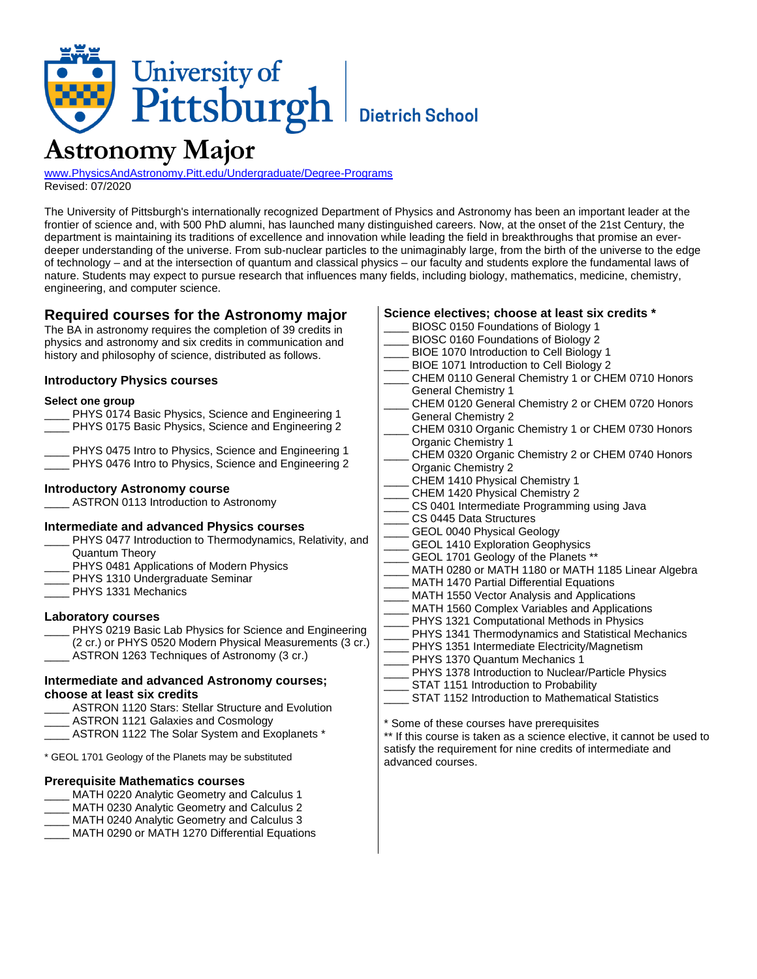

# **Astronomy Major**

[www.PhysicsAndAstronomy.Pitt.edu/Undergraduate/Degree-Programs](http://www.physicsandastronomy.pitt.edu/undergraduate/degree-programs) Revised: 07/2020

The University of Pittsburgh's internationally recognized Department of Physics and Astronomy has been an important leader at the frontier of science and, with 500 PhD alumni, has launched many distinguished careers. Now, at the onset of the 21st Century, the department is maintaining its traditions of excellence and innovation while leading the field in breakthroughs that promise an everdeeper understanding of the universe. From sub-nuclear particles to the unimaginably large, from the birth of the universe to the edge of technology – and at the intersection of quantum and classical physics – our faculty and students explore the fundamental laws of nature. Students may expect to pursue research that influences many fields, including biology, mathematics, medicine, chemistry, engineering, and computer science.

# **Required courses for the Astronomy major**

The BA in astronomy requires the completion of 39 credits in physics and astronomy and six credits in communication and history and philosophy of science, distributed as follows.

#### **Introductory Physics courses**

#### **Select one group**

|  |  | PHYS 0174 Basic Physics, Science and Engineering 1 |  |
|--|--|----------------------------------------------------|--|
|  |  | PHYS 0175 Basic Physics. Science and Engineering 2 |  |

PHYS 0475 Intro to Physics, Science and Engineering 1 PHYS 0476 Intro to Physics, Science and Engineering 2

#### **Introductory Astronomy course**

ASTRON 0113 Introduction to Astronomy

#### **Intermediate and advanced Physics courses**

- PHYS 0477 Introduction to Thermodynamics, Relativity, and Quantum Theory
- PHYS 0481 Applications of Modern Physics
- PHYS 1310 Undergraduate Seminar
- PHYS 1331 Mechanics

#### **Laboratory courses**

PHYS 0219 Basic Lab Physics for Science and Engineering

- (2 cr.) or PHYS 0520 Modern Physical Measurements (3 cr.)
- ASTRON 1263 Techniques of Astronomy (3 cr.)

#### **Intermediate and advanced Astronomy courses; choose at least six credits**

- ASTRON 1120 Stars: Stellar Structure and Evolution
- ASTRON 1121 Galaxies and Cosmology
- ASTRON 1122 The Solar System and Exoplanets \*

\* GEOL 1701 Geology of the Planets may be substituted

### **Prerequisite Mathematics courses**

- MATH 0220 Analytic Geometry and Calculus 1
- MATH 0230 Analytic Geometry and Calculus 2

MATH 0240 Analytic Geometry and Calculus 3

MATH 0290 or MATH 1270 Differential Equations

## **Science electives; choose at least six credits \***

- BIOSC 0150 Foundations of Biology 1
- BIOSC 0160 Foundations of Biology 2
- BIOE 1070 Introduction to Cell Biology 1
- BIOE 1071 Introduction to Cell Biology 2
- CHEM 0110 General Chemistry 1 or CHEM 0710 Honors General Chemistry 1
- CHEM 0120 General Chemistry 2 or CHEM 0720 Honors General Chemistry 2
- CHEM 0310 Organic Chemistry 1 or CHEM 0730 Honors Organic Chemistry 1
- CHEM 0320 Organic Chemistry 2 or CHEM 0740 Honors Organic Chemistry 2
- CHEM 1410 Physical Chemistry 1
- CHEM 1420 Physical Chemistry 2
- CS 0401 Intermediate Programming using Java
- CS 0445 Data Structures
- GEOL 0040 Physical Geology
- GEOL 1410 Exploration Geophysics
- GEOL 1701 Geology of the Planets \*\*
- MATH 0280 or MATH 1180 or MATH 1185 Linear Algebra
- MATH 1470 Partial Differential Equations
- MATH 1550 Vector Analysis and Applications
- MATH 1560 Complex Variables and Applications
- PHYS 1321 Computational Methods in Physics
- PHYS 1341 Thermodynamics and Statistical Mechanics
- PHYS 1351 Intermediate Electricity/Magnetism
- PHYS 1370 Quantum Mechanics 1
- PHYS 1378 Introduction to Nuclear/Particle Physics
- STAT 1151 Introduction to Probability
	- STAT 1152 Introduction to Mathematical Statistics

\* Some of these courses have prerequisites

\*\* If this course is taken as a science elective, it cannot be used to satisfy the requirement for nine credits of intermediate and advanced courses.